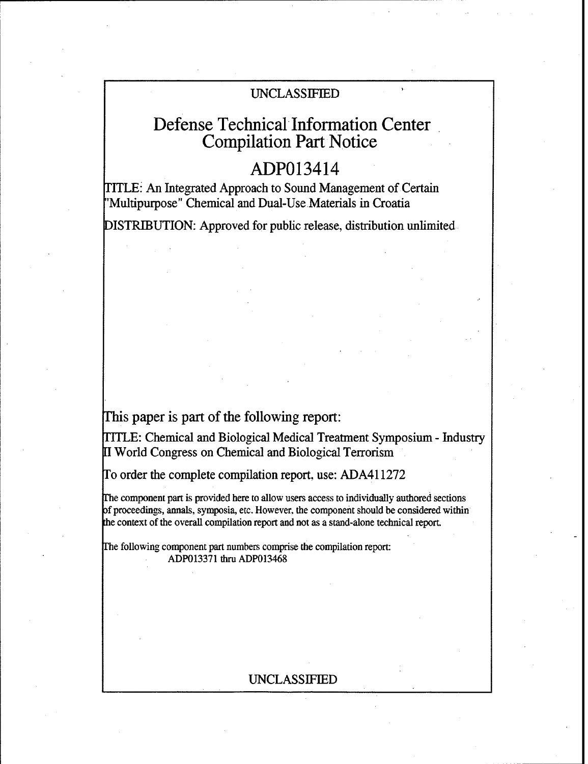### UNCLASSIFIED

# Defense Technical Information Center Compilation Part Notice

# ADP013414

TITLE: An Integrated Approach to Sound Management of Certain "Multipurpose" Chemical and Dual-Use Materials in Croatia

DISTRIBUTION: Approved for public release, distribution unlimited

## This paper is part of the following report:

ITLE: Chemical and Biological Medical Treatment Symposium - Industry **<sup>11</sup>**World Congress on Chemical and Biological Terrorism

To order the complete compilation report, use: ADA411272

The component part is provided here to allow users access to individually authored sections **of** proceedings, annals, symposia, etc. However, the component should be considered within the context of the overall compilation report and not as a stand-alone technical report.

The following component part numbers comprise the compilation report: ADP013371 thru ADP013468

### UNCLASSIFIED